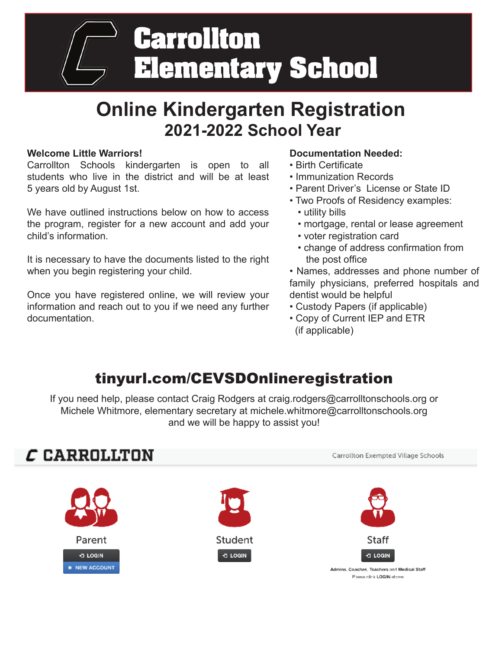

# **Online Kindergarten Registration 2021-2022 School Year**

### **Welcome Little Warriors!**

Carrollton Schools kindergarten is open to all students who live in the district and will be at least 5 years old by August 1st.

We have outlined instructions below on how to access the program, register for a new account and add your child's information.

It is necessary to have the documents listed to the right when you begin registering your child.

Once you have registered online, we will review your information and reach out to you if we need any further documentation.

### **Documentation Needed:**

- Birth Certificate
- Immunization Records
- Parent Driver's License or State ID
- Two Proofs of Residency examples: • utility bills
	- mortgage, rental or lease agreement
	- voter registration card
	- change of address confirmation from the post office
- Names, addresses and phone number of family physicians, preferred hospitals and dentist would be helpful
- Custody Papers (if applicable)
- Copy of Current IEP and ETR (if applicable)

## tinyurl.com/CEVSDOnlineregistration

If you need help, please contact Craig Rodgers at craig.rodgers@carrolltonschools.org or Michele Whitmore, elementary secretary at michele.whitmore@carrolltonschools.org and we will be happy to assist you!

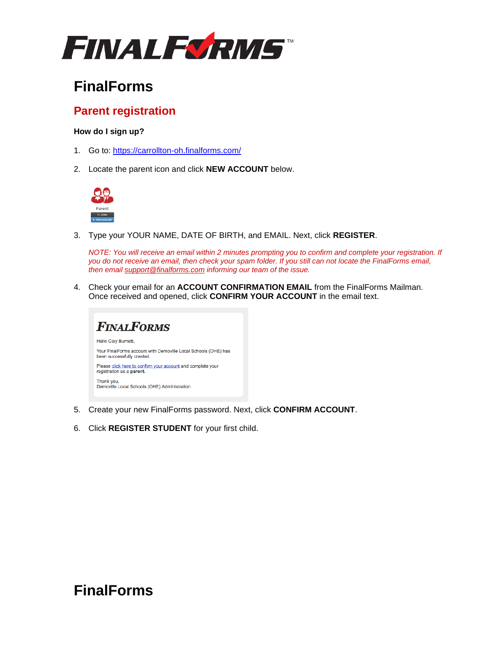

## **FinalForms**

### **Parent registration**

#### **How do I sign up?**

- 1. Go to: <https://carrollton-oh.finalforms.com/>
- 2. Locate the parent icon and click **NEW ACCOUNT** below.



3. Type your YOUR NAME, DATE OF BIRTH, and EMAIL. Next, click **REGISTER**.

*NOTE: You will receive an email within 2 minutes prompting you to confirm and complete your registration. If you do not receive an email, then check your spam folder. If you still can not locate the FinalForms email, then email [support@finalforms.com](mailto:support@finalforms.com) informing our team of the issue.*

4. Check your email for an **ACCOUNT CONFIRMATION EMAIL** from the FinalForms Mailman. Once received and opened, click **CONFIRM YOUR ACCOUNT** in the email text.



- 5. Create your new FinalForms password. Next, click **CONFIRM ACCOUNT**.
- 6. Click **REGISTER STUDENT** for your first child.

## **FinalForms**